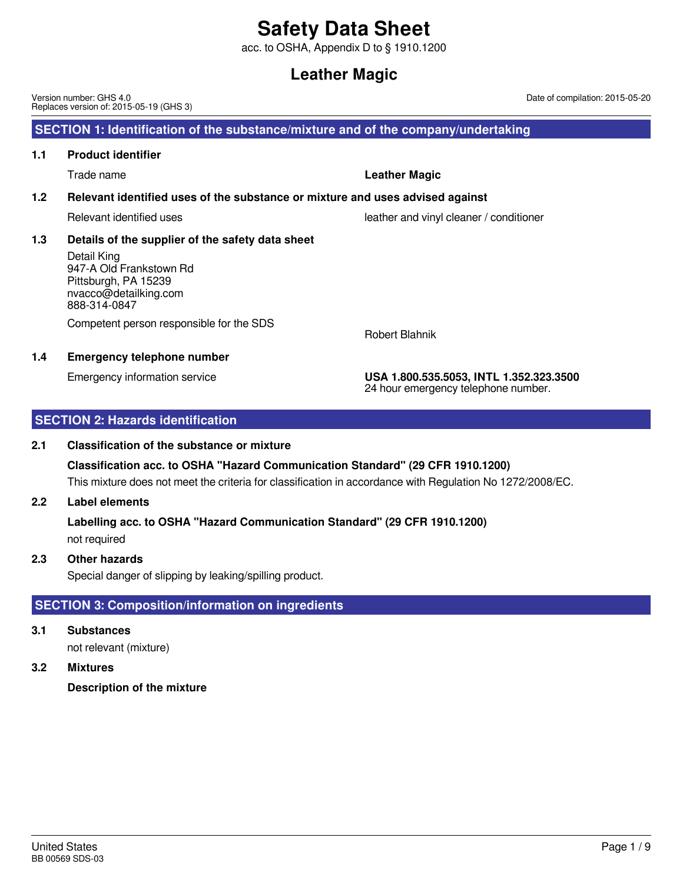acc. to OSHA, Appendix D to § 1910.1200

# **Leather Magic**

United States BB 00569 SDS-03

#### Version number: GHS 4.0 Replaces version of: 2015-05-19 (GHS 3)

## **SECTION 1: Identification of the substance/mixture and of the company/undertaking**

### **1.1 Product identifier**

Trade name **Leather Magic**

### **1.2 Relevant identified uses of the substance or mixture and uses advised against**

Relevant identified uses leather and vinyl cleaner / conditioner

## **1.3 Details of the supplier of the safety data sheet**

Detail King 947-A Old Frankstown Rd Pittsburgh, PA 15239 nvacco@detailking.com 888-314-0847

Competent person responsible for the SDS

### **1.4 Emergency telephone number**

Emergency information service **USA 1.800.535.5053, INTL 1.352.323.3500** 24 hour emergency telephone number.

Date of compilation: 2015-05-20

Robert Blahnik

## **SECTION 2: Hazards identification**

### **2.1 Classification of the substance or mixture**

This mixture does not meet the criteria for classification in accordance with Regulation No 1272/2008/EC. **Classification acc. to OSHA "Hazard Communication Standard" (29 CFR 1910.1200)**

### **2.2 Label elements**

not required **Labelling acc. to OSHA "Hazard Communication Standard" (29 CFR 1910.1200)**

### **2.3 Other hazards**

Special danger of slipping by leaking/spilling product.

## **SECTION 3: Composition/information on ingredients**

**3.1 Substances**

not relevant (mixture)

## **3.2 Mixtures**

**Description of the mixture**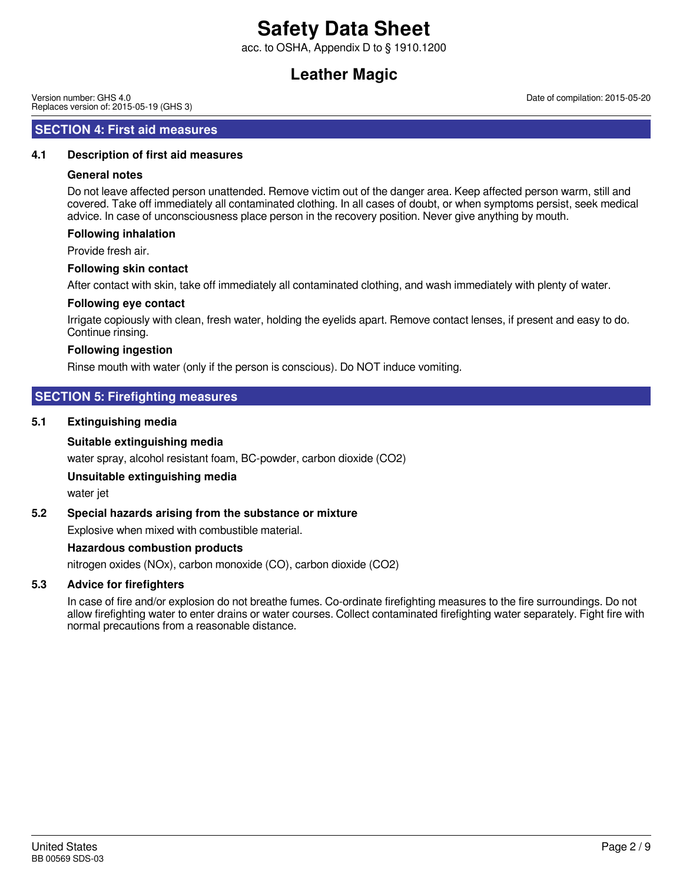acc. to OSHA, Appendix D to § 1910.1200

# **Leather Magic**

Version number: GHS 4.0 Replaces version of: 2015-05-19 (GHS 3)

### **SECTION 4: First aid measures**

### **4.1 Description of first aid measures**

### **General notes**

Do not leave affected person unattended. Remove victim out of the danger area. Keep affected person warm, still and covered. Take off immediately all contaminated clothing. In all cases of doubt, or when symptoms persist, seek medical advice. In case of unconsciousness place person in the recovery position. Never give anything by mouth.

### **Following inhalation**

Provide fresh air.

### **Following skin contact**

After contact with skin, take off immediately all contaminated clothing, and wash immediately with plenty of water.

### **Following eye contact**

Irrigate copiously with clean, fresh water, holding the eyelids apart. Remove contact lenses, if present and easy to do. Continue rinsing.

### **Following ingestion**

Rinse mouth with water (only if the person is conscious). Do NOT induce vomiting.

## **SECTION 5: Firefighting measures**

### **5.1 Extinguishing media**

### **Suitable extinguishing media**

water spray, alcohol resistant foam, BC-powder, carbon dioxide (CO2)

### **Unsuitable extinguishing media**

water jet

### **5.2 Special hazards arising from the substance or mixture**

Explosive when mixed with combustible material.

### **Hazardous combustion products**

nitrogen oxides (NOx), carbon monoxide (CO), carbon dioxide (CO2)

### **5.3 Advice for firefighters**

In case of fire and/or explosion do not breathe fumes. Co-ordinate firefighting measures to the fire surroundings. Do not allow firefighting water to enter drains or water courses. Collect contaminated firefighting water separately. Fight fire with normal precautions from a reasonable distance.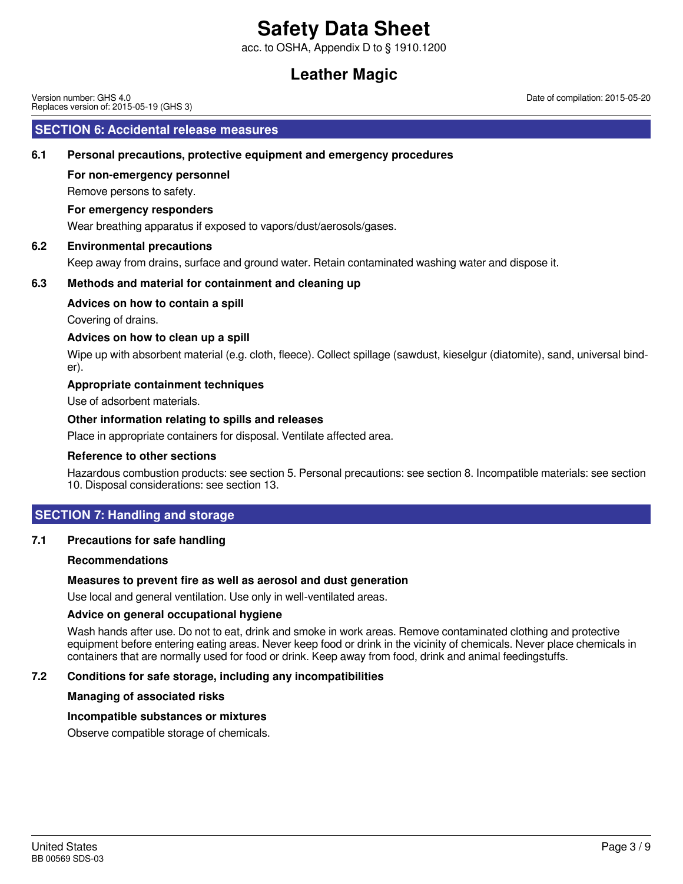acc. to OSHA, Appendix D to § 1910.1200

# **Leather Magic**

Version number: GHS 4.0 Replaces version of: 2015-05-19 (GHS 3)

### **SECTION 6: Accidental release measures**

### **6.1 Personal precautions, protective equipment and emergency procedures**

### **For non-emergency personnel**

Remove persons to safety.

### **For emergency responders**

Wear breathing apparatus if exposed to vapors/dust/aerosols/gases.

### **6.2 Environmental precautions**

Keep away from drains, surface and ground water. Retain contaminated washing water and dispose it.

### **6.3 Methods and material for containment and cleaning up**

### **Advices on how to contain a spill**

Covering of drains.

### **Advices on how to clean up a spill**

Wipe up with absorbent material (e.g. cloth, fleece). Collect spillage (sawdust, kieselgur (diatomite), sand, universal binder).

### **Appropriate containment techniques**

Use of adsorbent materials.

### **Other information relating to spills and releases**

Place in appropriate containers for disposal. Ventilate affected area.

### **Reference to other sections**

Hazardous combustion products: see section 5. Personal precautions: see section 8. Incompatible materials: see section 10. Disposal considerations: see section 13.

### **SECTION 7: Handling and storage**

### **7.1 Precautions for safe handling**

### **Recommendations**

### **Measures to prevent fire as well as aerosol and dust generation**

Use local and general ventilation. Use only in well-ventilated areas.

### **Advice on general occupational hygiene**

Wash hands after use. Do not to eat, drink and smoke in work areas. Remove contaminated clothing and protective equipment before entering eating areas. Never keep food or drink in the vicinity of chemicals. Never place chemicals in containers that are normally used for food or drink. Keep away from food, drink and animal feedingstuffs.

### **7.2 Conditions for safe storage, including any incompatibilities**

### **Managing of associated risks**

### **Incompatible substances or mixtures**

Observe compatible storage of chemicals.

Date of compilation: 2015-05-20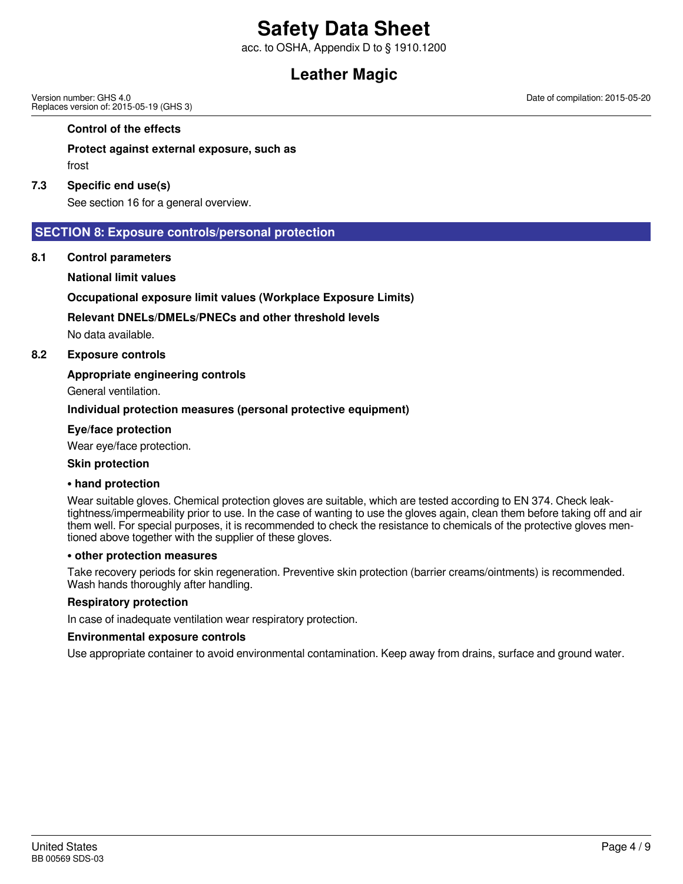acc. to OSHA, Appendix D to § 1910.1200

# **Leather Magic**

Version number: GHS 4.0 Replaces version of: 2015-05-19 (GHS 3)

#### **Control of the effects**

### **Protect against external exposure, such as**

frost

#### **7.3 Specific end use(s)**

See section 16 for a general overview.

### **SECTION 8: Exposure controls/personal protection**

**8.1 Control parameters**

#### **National limit values**

### **Occupational exposure limit values (Workplace Exposure Limits)**

### **Relevant DNELs/DMELs/PNECs and other threshold levels**

No data available.

### **8.2 Exposure controls**

### **Appropriate engineering controls**

General ventilation.

### **Individual protection measures (personal protective equipment)**

### **Eye/face protection**

Wear eye/face protection.

#### **Skin protection**

#### **• hand protection**

Wear suitable gloves. Chemical protection gloves are suitable, which are tested according to EN 374. Check leaktightness/impermeability prior to use. In the case of wanting to use the gloves again, clean them before taking off and air them well. For special purposes, it is recommended to check the resistance to chemicals of the protective gloves mentioned above together with the supplier of these gloves.

### **• other protection measures**

Take recovery periods for skin regeneration. Preventive skin protection (barrier creams/ointments) is recommended. Wash hands thoroughly after handling.

### **Respiratory protection**

In case of inadequate ventilation wear respiratory protection.

#### **Environmental exposure controls**

Use appropriate container to avoid environmental contamination. Keep away from drains, surface and ground water.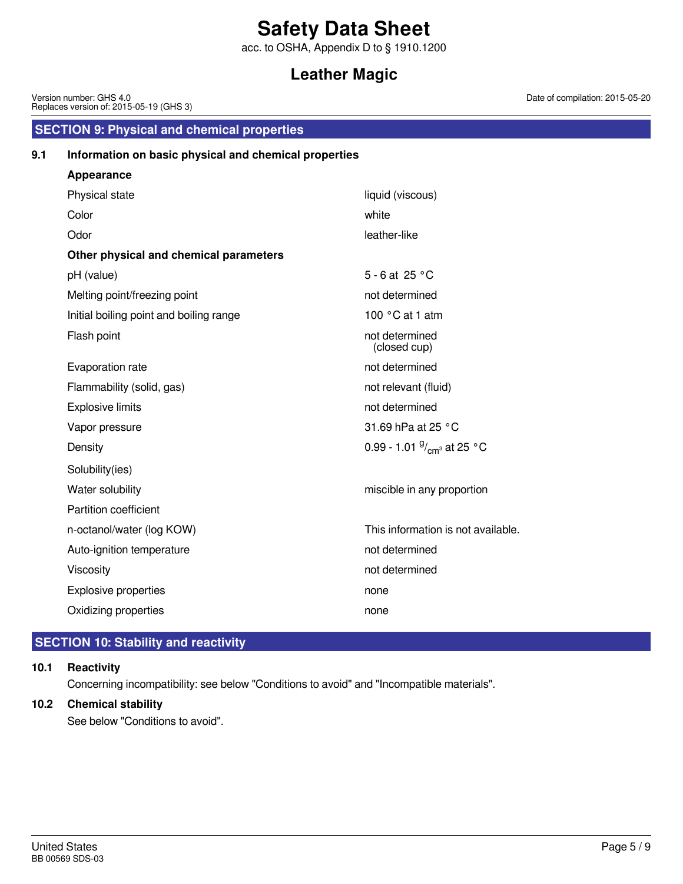acc. to OSHA, Appendix D to § 1910.1200

# **Leather Magic**

|     | Version number: GHS 4.0<br>Date<br>Replaces version of: 2015-05-19 (GHS 3) |                                     |  |
|-----|----------------------------------------------------------------------------|-------------------------------------|--|
|     | <b>SECTION 9: Physical and chemical properties</b>                         |                                     |  |
| 9.1 | Information on basic physical and chemical properties                      |                                     |  |
|     | <b>Appearance</b>                                                          |                                     |  |
|     | Physical state                                                             | liquid (viscous)                    |  |
|     | Color                                                                      | white                               |  |
|     | Odor                                                                       | leather-like                        |  |
|     | Other physical and chemical parameters                                     |                                     |  |
|     | pH (value)                                                                 | 5 - 6 at 25 °C                      |  |
|     | Melting point/freezing point                                               | not determined                      |  |
|     | Initial boiling point and boiling range                                    | 100 $\degree$ C at 1 atm            |  |
|     | Flash point                                                                | not determined<br>(closed cup)      |  |
|     | Evaporation rate                                                           | not determined                      |  |
|     | Flammability (solid, gas)                                                  | not relevant (fluid)                |  |
|     | <b>Explosive limits</b>                                                    | not determined                      |  |
|     | Vapor pressure                                                             | 31.69 hPa at 25 °C                  |  |
|     | Density                                                                    | 0.99 - 1.01 $\frac{9}{cm}$ at 25 °C |  |
|     | Solubility(ies)                                                            |                                     |  |
|     | Water solubility                                                           | miscible in any proportion          |  |
|     | Partition coefficient                                                      |                                     |  |
|     | n-octanol/water (log KOW)                                                  | This information is not available.  |  |
|     | Auto-ignition temperature                                                  | not determined                      |  |
|     | Viscosity                                                                  | not determined                      |  |
|     | <b>Explosive properties</b>                                                | none                                |  |

## **SECTION 10: Stability and reactivity**

### **10.1 Reactivity**

Concerning incompatibility: see below "Conditions to avoid" and "Incompatible materials".

Oxidizing properties none

## **10.2 Chemical stability**

See below "Conditions to avoid".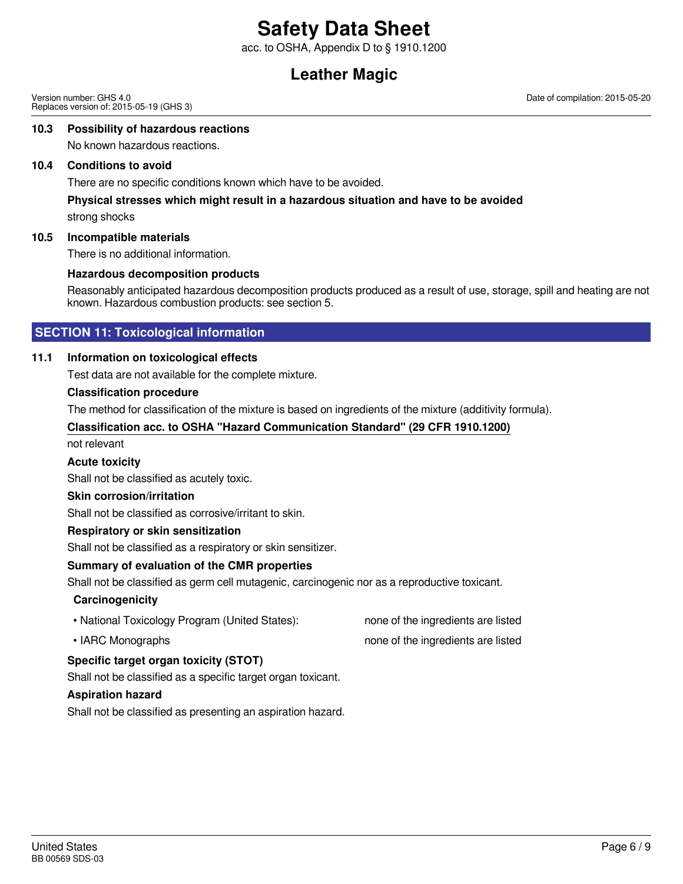acc. to OSHA, Appendix D to § 1910.1200

# **Leather Magic**

Version number: GHS 4.0 Replaces version of: 2015-05-19 (GHS 3) Date of compilation: 2015-05-20

### **10.3 Possibility of hazardous reactions**

No known hazardous reactions.

### **10.4 Conditions to avoid**

There are no specific conditions known which have to be avoided.

### **Physical stresses which might result in a hazardous situation and have to be avoided**

strong shocks

### **10.5 Incompatible materials**

There is no additional information.

### **Hazardous decomposition products**

Reasonably anticipated hazardous decomposition products produced as a result of use, storage, spill and heating are not known. Hazardous combustion products: see section 5.

### **SECTION 11: Toxicological information**

### **11.1 Information on toxicological effects**

Test data are not available for the complete mixture.

### **Classification procedure**

The method for classification of the mixture is based on ingredients of the mixture (additivity formula).

### **Classification acc. to OSHA "Hazard Communication Standard" (29 CFR 1910.1200)**

not relevant

### **Acute toxicity**

Shall not be classified as acutely toxic.

### **Skin corrosion/irritation**

Shall not be classified as corrosive/irritant to skin.

### **Respiratory or skin sensitization**

Shall not be classified as a respiratory or skin sensitizer.

### **Summary of evaluation of the CMR properties**

Shall not be classified as germ cell mutagenic, carcinogenic nor as a reproductive toxicant.

### **Carcinogenicity**

- National Toxicology Program (United States): none of the ingredients are listed
- 

### • IARC Monographs **none of the ingredients are listed**

### **Specific target organ toxicity (STOT)**

Shall not be classified as a specific target organ toxicant.

### **Aspiration hazard**

Shall not be classified as presenting an aspiration hazard.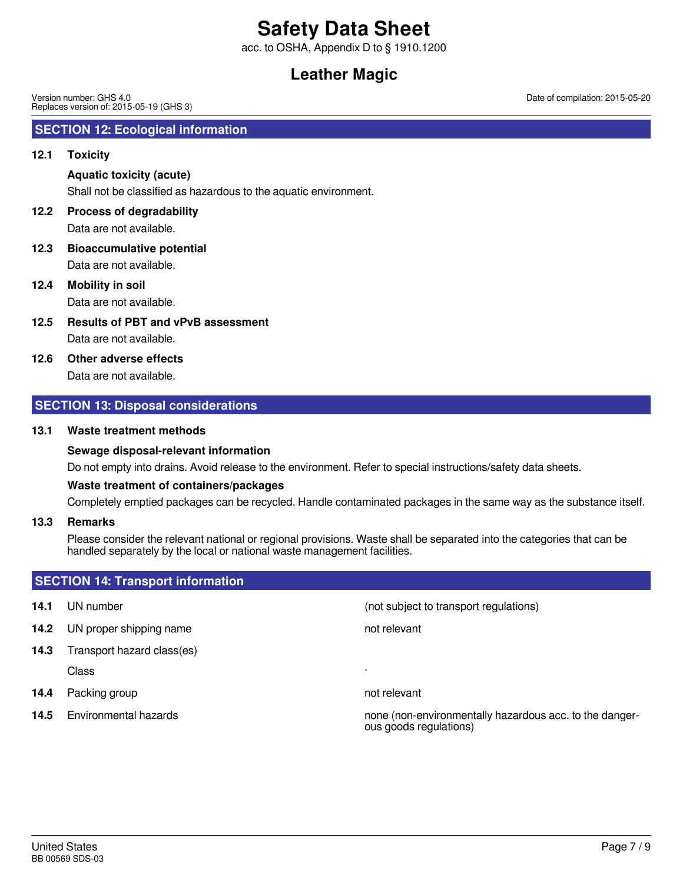acc. to OSHA, Appendix D to § 1910.1200

# **Leather Magic**

Version number: GHS 4.0 Replaces version of: 2015-05-19 (GHS 3)

### **SECTION 12: Ecological information**

### **12.1 Toxicity**

### **Aquatic toxicity (acute)**

Shall not be classified as hazardous to the aquatic environment.

## **12.2 Process of degradability**

Data are not available.

Data are not available. **12.3 Bioaccumulative potential**

### **12.4 Mobility in soil**

Data are not available.

Data are not available. **12.5 Results of PBT and vPvB assessment**

### **12.6 Other adverse effects**

Data are not available.

### **SECTION 13: Disposal considerations**

### **13.1 Waste treatment methods**

### **Sewage disposal-relevant information**

Do not empty into drains. Avoid release to the environment. Refer to special instructions/safety data sheets.

### **Waste treatment of containers/packages**

Completely emptied packages can be recycled. Handle contaminated packages in the same way as the substance itself.

### **13.3 Remarks**

Please consider the relevant national or regional provisions. Waste shall be separated into the categories that can be handled separately by the local or national waste management facilities.

### **SECTION 14: Transport information**

- 
- **14.2** UN proper shipping name
- **14.3** Transport hazard class(es) Class -
- **14.4** Packing group **not relevant**
- 

**14.1** UN number **14.1** UN number **14.1** UN number

**14.5** Environmental hazards **none is a set of the constant of the danger-** none (non-environmentally hazardous acc. to the dangerous goods regulations)

Date of compilation: 2015-05-20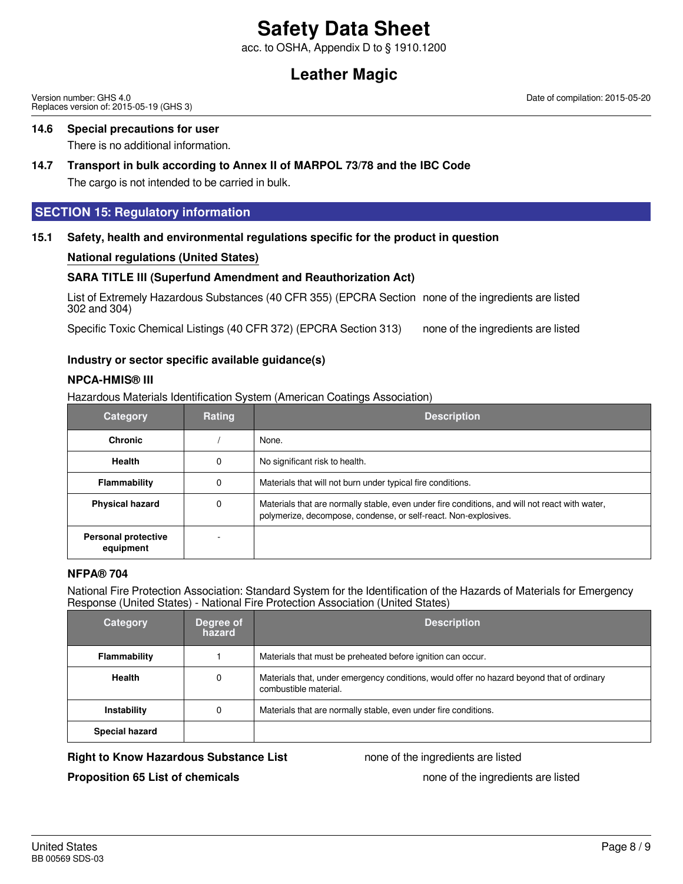acc. to OSHA, Appendix D to § 1910.1200

# **Leather Magic**

Version number: GHS 4.0 Replaces version of: 2015-05-19 (GHS 3) Date of compilation: 2015-05-20

### **14.6 Special precautions for user**

There is no additional information.

## **14.7 Transport in bulk according to Annex II of MARPOL 73/78 and the IBC Code**

The cargo is not intended to be carried in bulk.

### **SECTION 15: Regulatory information**

### **15.1 Safety, health and environmental regulations specific for the product in question**

### **National regulations (United States)**

### **SARA TITLE III (Superfund Amendment and Reauthorization Act)**

List of Extremely Hazardous Substances (40 CFR 355) (EPCRA Section none of the ingredients are listed 302 and 304)

Specific Toxic Chemical Listings (40 CFR 372) (EPCRA Section 313) none of the ingredients are listed

### **Industry or sector specific available guidance(s)**

### **NPCA-HMIS® III**

Hazardous Materials Identification System (American Coatings Association)

| <b>Category</b>                         | Rating | <b>Description</b>                                                                                                                                                |
|-----------------------------------------|--------|-------------------------------------------------------------------------------------------------------------------------------------------------------------------|
| <b>Chronic</b>                          |        | None.                                                                                                                                                             |
| <b>Health</b>                           | 0      | No significant risk to health.                                                                                                                                    |
| Flammability                            | 0      | Materials that will not burn under typical fire conditions.                                                                                                       |
| <b>Physical hazard</b>                  | 0      | Materials that are normally stable, even under fire conditions, and will not react with water,<br>polymerize, decompose, condense, or self-react. Non-explosives. |
| <b>Personal protective</b><br>equipment |        |                                                                                                                                                                   |

### **NFPA® 704**

National Fire Protection Association: Standard System for the Identification of the Hazards of Materials for Emergency Response (United States) - National Fire Protection Association (United States)

| <b>Category</b>       | Degree of<br>hazard | <b>Description</b>                                                                                                 |
|-----------------------|---------------------|--------------------------------------------------------------------------------------------------------------------|
| Flammability          |                     | Materials that must be preheated before ignition can occur.                                                        |
| <b>Health</b>         | 0                   | Materials that, under emergency conditions, would offer no hazard beyond that of ordinary<br>combustible material. |
| Instability           | 0                   | Materials that are normally stable, even under fire conditions.                                                    |
| <b>Special hazard</b> |                     |                                                                                                                    |

### **Right to Know Hazardous Substance List** none of the ingredients are listed

**Proposition 65 List of chemicals** none of the ingredients are listed